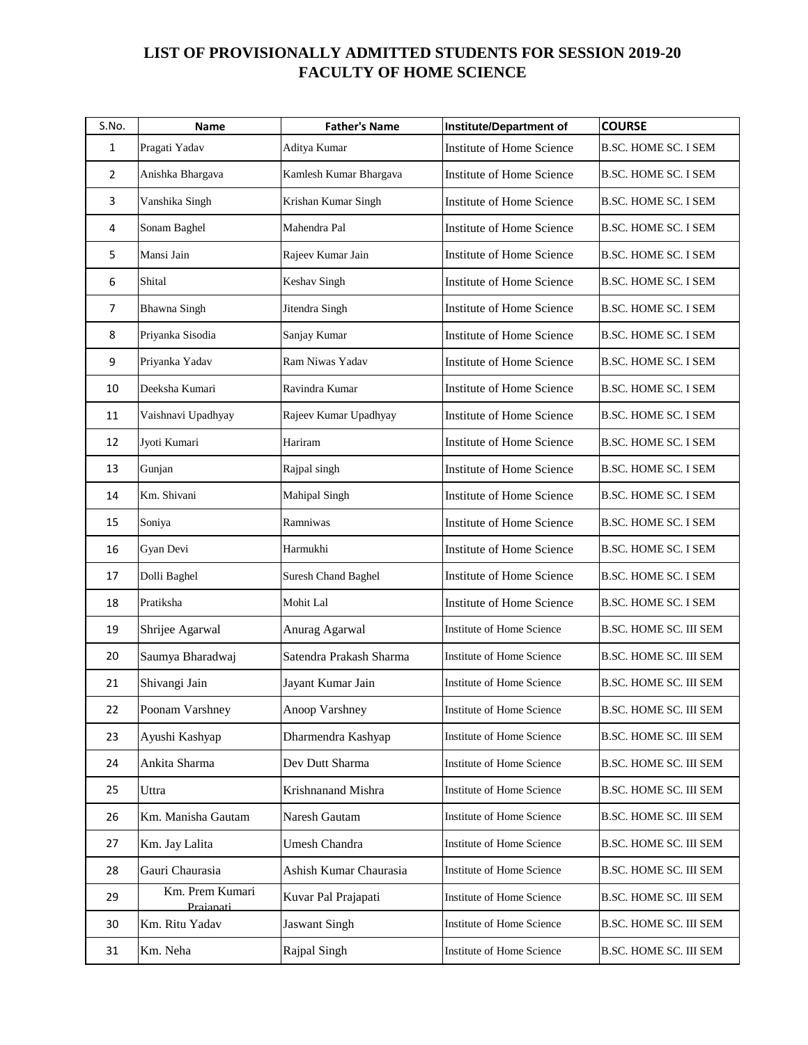## **LIST OF PROVISIONALLY ADMITTED STUDENTS FOR SESSION 2019-20 FACULTY OF HOME SCIENCE**

| S.No.          | Name                         | <b>Father's Name</b>       | <b>Institute/Department of</b>   | <b>COURSE</b>                 |
|----------------|------------------------------|----------------------------|----------------------------------|-------------------------------|
| 1              | Pragati Yadav                | Aditya Kumar               | Institute of Home Science        | <b>B.SC. HOME SC. I SEM</b>   |
| $\overline{2}$ | Anishka Bhargava             | Kamlesh Kumar Bhargava     | Institute of Home Science        | <b>B.SC. HOME SC. I SEM</b>   |
| 3              | Vanshika Singh               | Krishan Kumar Singh        | Institute of Home Science        | <b>B.SC. HOME SC. I SEM</b>   |
| 4              | Sonam Baghel                 | Mahendra Pal               | Institute of Home Science        | B.SC. HOME SC. I SEM          |
| 5              | Mansi Jain                   | Rajeev Kumar Jain          | Institute of Home Science        | <b>B.SC. HOME SC. I SEM</b>   |
| 6              | Shital                       | Keshav Singh               | Institute of Home Science        | <b>B.SC. HOME SC. I SEM</b>   |
| $\overline{7}$ | <b>Bhawna Singh</b>          | Jitendra Singh             | Institute of Home Science        | <b>B.SC. HOME SC. I SEM</b>   |
| 8              | Priyanka Sisodia             | Sanjay Kumar               | Institute of Home Science        | <b>B.SC. HOME SC. I SEM</b>   |
| 9              | Priyanka Yadav               | Ram Niwas Yadav            | Institute of Home Science        | <b>B.SC. HOME SC. I SEM</b>   |
| 10             | Deeksha Kumari               | Ravindra Kumar             | Institute of Home Science        | <b>B.SC. HOME SC. I SEM</b>   |
| 11             | Vaishnavi Upadhyay           | Rajeev Kumar Upadhyay      | Institute of Home Science        | <b>B.SC. HOME SC. I SEM</b>   |
| 12             | Jyoti Kumari                 | Hariram                    | Institute of Home Science        | <b>B.SC. HOME SC. I SEM</b>   |
| 13             | Gunjan                       | Rajpal singh               | Institute of Home Science        | <b>B.SC. HOME SC. I SEM</b>   |
| 14             | Km. Shivani                  | Mahipal Singh              | Institute of Home Science        | <b>B.SC. HOME SC. I SEM</b>   |
| 15             | Soniya                       | Ramniwas                   | <b>Institute of Home Science</b> | <b>B.SC. HOME SC. I SEM</b>   |
| 16             | Gyan Devi                    | Harmukhi                   | Institute of Home Science        | <b>B.SC. HOME SC. I SEM</b>   |
| 17             | Dolli Baghel                 | <b>Suresh Chand Baghel</b> | Institute of Home Science        | <b>B.SC. HOME SC. I SEM</b>   |
| 18             | Pratiksha                    | Mohit Lal                  | Institute of Home Science        | B.SC. HOME SC. I SEM          |
| 19             | Shrijee Agarwal              | Anurag Agarwal             | Institute of Home Science        | <b>B.SC. HOME SC. III SEM</b> |
| 20             | Saumya Bharadwaj             | Satendra Prakash Sharma    | Institute of Home Science        | B.SC. HOME SC. III SEM        |
| 21             | Shivangi Jain                | Jayant Kumar Jain          | Institute of Home Science        | <b>B.SC. HOME SC. III SEM</b> |
| 22             | Poonam Varshney              | Anoop Varshney             | Institute of Home Science        | <b>B.SC. HOME SC. III SEM</b> |
| 23             | Ayushi Kashyap               | Dharmendra Kashyap         | Institute of Home Science        | B.SC. HOME SC. III SEM        |
| 24             | Ankita Sharma                | Dev Dutt Sharma            | Institute of Home Science        | B.SC. HOME SC. III SEM        |
| 25             | Uttra                        | Krishnanand Mishra         | Institute of Home Science        | B.SC. HOME SC. III SEM        |
| 26             | Km. Manisha Gautam           | Naresh Gautam              | Institute of Home Science        | B.SC. HOME SC. III SEM        |
| 27             | Km. Jay Lalita               | Umesh Chandra              | Institute of Home Science        | B.SC. HOME SC. III SEM        |
| 28             | Gauri Chaurasia              | Ashish Kumar Chaurasia     | Institute of Home Science        | B.SC. HOME SC. III SEM        |
| 29             | Km. Prem Kumari<br>Praianati | Kuvar Pal Prajapati        | Institute of Home Science        | B.SC. HOME SC. III SEM        |
| 30             | Km. Ritu Yadav               | <b>Jaswant Singh</b>       | Institute of Home Science        | <b>B.SC. HOME SC. III SEM</b> |
| 31             | Km. Neha                     | Rajpal Singh               | Institute of Home Science        | B.SC. HOME SC. III SEM        |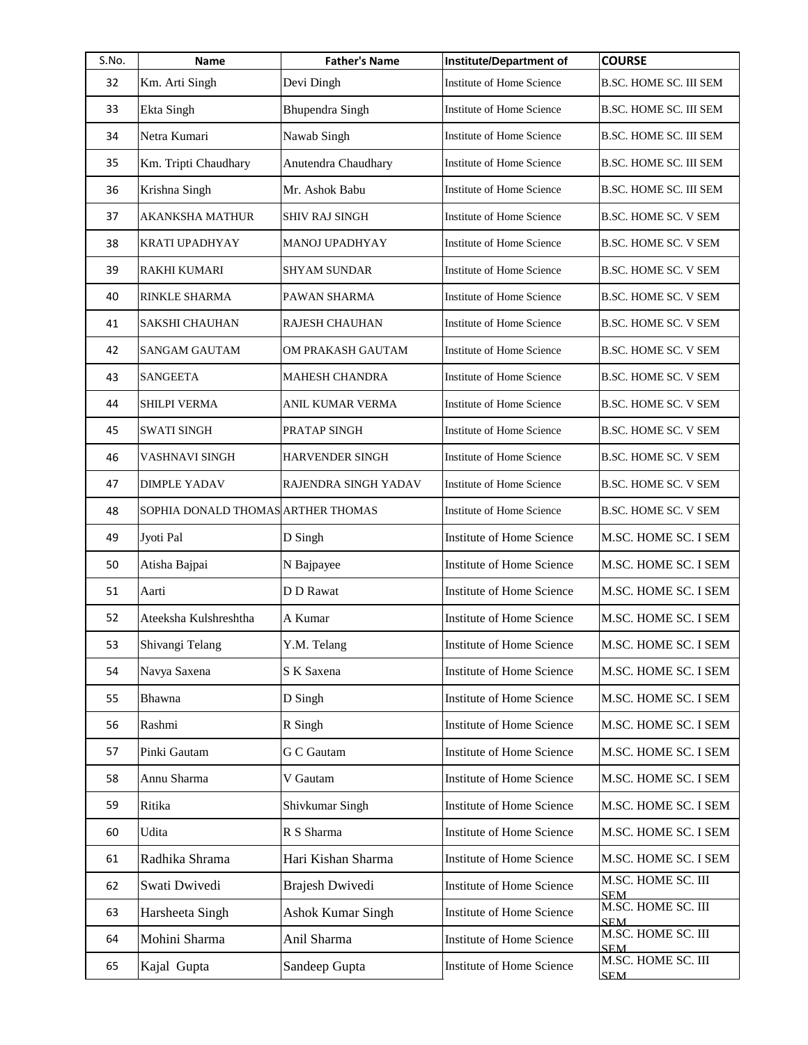| S.No. | Name                               | <b>Father's Name</b>     | <b>Institute/Department of</b>   | <b>COURSE</b>                    |
|-------|------------------------------------|--------------------------|----------------------------------|----------------------------------|
| 32    | Km. Arti Singh                     | Devi Dingh               | Institute of Home Science        | B.SC. HOME SC. III SEM           |
| 33    | Ekta Singh                         | <b>Bhupendra Singh</b>   | Institute of Home Science        | <b>B.SC. HOME SC. III SEM</b>    |
| 34    | Netra Kumari                       | Nawab Singh              | Institute of Home Science        | <b>B.SC. HOME SC. III SEM</b>    |
| 35    | Km. Tripti Chaudhary               | Anutendra Chaudhary      | Institute of Home Science        | <b>B.SC. HOME SC. III SEM</b>    |
| 36    | Krishna Singh                      | Mr. Ashok Babu           | Institute of Home Science        | <b>B.SC. HOME SC. III SEM</b>    |
| 37    | AKANKSHA MATHUR                    | <b>SHIV RAJ SINGH</b>    | Institute of Home Science        | <b>B.SC. HOME SC. V SEM</b>      |
| 38    | KRATI UPADHYAY                     | MANOJ UPADHYAY           | Institute of Home Science        | B.SC. HOME SC. V SEM             |
| 39    | RAKHI KUMARI                       | SHYAM SUNDAR             | Institute of Home Science        | <b>B.SC. HOME SC. V SEM</b>      |
| 40    | RINKLE SHARMA                      | PAWAN SHARMA             | Institute of Home Science        | <b>B.SC. HOME SC. V SEM</b>      |
| 41    | <b>SAKSHI CHAUHAN</b>              | RAJESH CHAUHAN           | Institute of Home Science        | <b>B.SC. HOME SC. V SEM</b>      |
| 42    | SANGAM GAUTAM                      | OM PRAKASH GAUTAM        | Institute of Home Science        | <b>B.SC. HOME SC. V SEM</b>      |
| 43    | <b>SANGEETA</b>                    | MAHESH CHANDRA           | Institute of Home Science        | B.SC. HOME SC. V SEM             |
| 44    | SHILPI VERMA                       | ANIL KUMAR VERMA         | Institute of Home Science        | <b>B.SC. HOME SC. V SEM</b>      |
| 45    | <b>SWATI SINGH</b>                 | PRATAP SINGH             | <b>Institute of Home Science</b> | <b>B.SC. HOME SC. V SEM</b>      |
| 46    | VASHNAVI SINGH                     | HARVENDER SINGH          | Institute of Home Science        | B.SC. HOME SC. V SEM             |
| 47    | DIMPLE YADAV                       | RAJENDRA SINGH YADAV     | Institute of Home Science        | <b>B.SC. HOME SC. V SEM</b>      |
| 48    | SOPHIA DONALD THOMAS ARTHER THOMAS |                          | Institute of Home Science        | <b>B.SC. HOME SC. V SEM</b>      |
| 49    | Jyoti Pal                          | D Singh                  | <b>Institute of Home Science</b> | M.SC. HOME SC. I SEM             |
| 50    | Atisha Bajpai                      | N Bajpayee               | Institute of Home Science        | M.SC. HOME SC. I SEM             |
| 51    | Aarti                              | D D Rawat                | <b>Institute of Home Science</b> | M.SC. HOME SC. I SEM             |
| 52    | Ateeksha Kulshreshtha              | A Kumar                  | <b>Institute of Home Science</b> | M.SC. HOME SC. I SEM             |
| 53    | Shivangi Telang                    | Y.M. Telang              | Institute of Home Science        | M.SC. HOME SC. I SEM             |
| 54    | Navya Saxena                       | S K Saxena               | <b>Institute of Home Science</b> | M.SC. HOME SC. I SEM             |
| 55    | Bhawna                             | D Singh                  | <b>Institute of Home Science</b> | M.SC. HOME SC. I SEM             |
| 56    | Rashmi                             | R Singh                  | Institute of Home Science        | M.SC. HOME SC. I SEM             |
| 57    | Pinki Gautam                       | <b>G</b> C Gautam        | <b>Institute of Home Science</b> | M.SC. HOME SC. I SEM             |
| 58    | Annu Sharma                        | V Gautam                 | Institute of Home Science        | M.SC. HOME SC. I SEM             |
| 59    | Ritika                             | Shivkumar Singh          | <b>Institute of Home Science</b> | M.SC. HOME SC. I SEM             |
| 60    | Udita                              | R S Sharma               | Institute of Home Science        | M.SC. HOME SC. I SEM             |
| 61    | Radhika Shrama                     | Hari Kishan Sharma       | Institute of Home Science        | M.SC. HOME SC. I SEM             |
| 62    | Swati Dwivedi                      | Brajesh Dwivedi          | Institute of Home Science        | M.SC. HOME SC. III<br><b>SEM</b> |
| 63    | Harsheeta Singh                    | <b>Ashok Kumar Singh</b> | Institute of Home Science        | M.SC. HOME SC. III<br><b>SEM</b> |
| 64    | Mohini Sharma                      | Anil Sharma              | Institute of Home Science        | M.SC. HOME SC. III<br><b>SEM</b> |
| 65    | Kajal Gupta                        | Sandeep Gupta            | Institute of Home Science        | M.SC. HOME SC. III<br><b>SEM</b> |